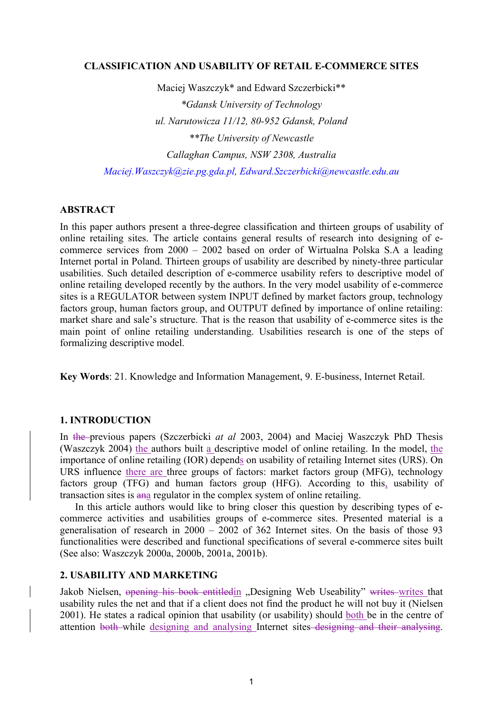#### **CLASSIFICATION AND USABILITY OF RETAIL E-COMMERCE SITES**

Maciej Waszczyk\* and Edward Szczerbicki\*\* *\*Gdansk University of Technology ul. Narutowicza 11/12, 80-952 Gdansk, Poland \*\*The University of Newcastle Callaghan Campus, NSW 2308, Australia Maciej.Waszczyk@zie.pg.gda.pl, Edward.Szczerbicki@newcastle.edu.au*

# **ABSTRACT**

In this paper authors present a three-degree classification and thirteen groups of usability of online retailing sites. The article contains general results of research into designing of ecommerce services from 2000 – 2002 based on order of Wirtualna Polska S.A a leading Internet portal in Poland. Thirteen groups of usability are described by ninety-three particular usabilities. Such detailed description of e-commerce usability refers to descriptive model of online retailing developed recently by the authors. In the very model usability of e-commerce sites is a REGULATOR between system INPUT defined by market factors group, technology factors group, human factors group, and OUTPUT defined by importance of online retailing: market share and sale's structure. That is the reason that usability of e-commerce sites is the main point of online retailing understanding. Usabilities research is one of the steps of formalizing descriptive model.

**Key Words**: 21. Knowledge and Information Management, 9. E-business, Internet Retail.

# **1. INTRODUCTION**

In the previous papers (Szczerbicki *at al* 2003, 2004) and Maciej Waszczyk PhD Thesis (Waszczyk 2004) the authors built a descriptive model of online retailing. In the model, the importance of online retailing (IOR) depends on usability of retailing Internet sites (URS). On URS influence there are three groups of factors: market factors group (MFG), technology factors group (TFG) and human factors group (HFG). According to this, usability of transaction sites is ana regulator in the complex system of online retailing.

In this article authors would like to bring closer this question by describing types of ecommerce activities and usabilities groups of e-commerce sites. Presented material is a generalisation of research in 2000 – 2002 of 362 Internet sites. On the basis of those 93 functionalities were described and functional specifications of several e-commerce sites built (See also: Waszczyk 2000a, 2000b, 2001a, 2001b).

#### **2. USABILITY AND MARKETING**

Jakob Nielsen, opening his book entitledin "Designing Web Useability" writes writes that usability rules the net and that if a client does not find the product he will not buy it (Nielsen 2001). He states a radical opinion that usability (or usability) should both be in the centre of attention both while designing and analysing Internet sites designing and their analysing.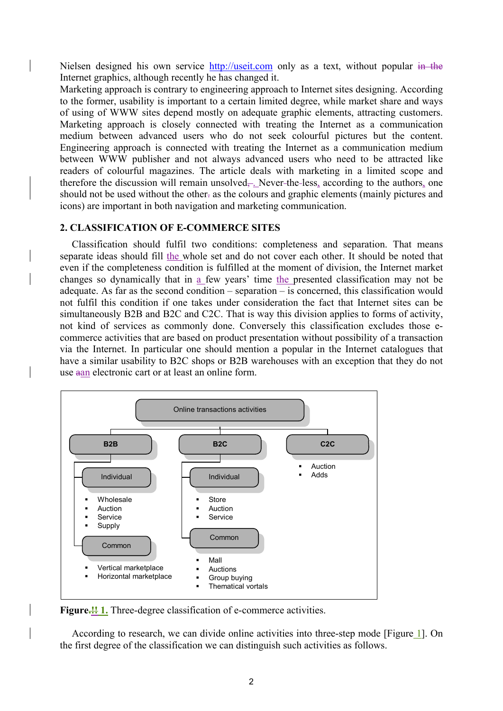Nielsen designed his own service http://useit.com only as a text, without popular in the Internet graphics, although recently he has changed it.

Marketing approach is contrary to engineering approach to Internet sites designing. According to the former, usability is important to a certain limited degree, while market share and ways of using of WWW sites depend mostly on adequate graphic elements, attracting customers. Marketing approach is closely connected with treating the Internet as a communication medium between advanced users who do not seek colourful pictures but the content. Engineering approach is connected with treating the Internet as a communication medium between WWW publisher and not always advanced users who need to be attracted like readers of colourful magazines. The article deals with marketing in a limited scope and therefore the discussion will remain unsolved—. Never-the-less, according to the authors, one should not be used without the other. as the colours and graphic elements (mainly pictures and icons) are important in both navigation and marketing communication.

### **2. CLASSIFICATION OF E-COMMERCE SITES**

Classification should fulfil two conditions: completeness and separation. That means separate ideas should fill the whole set and do not cover each other. It should be noted that even if the completeness condition is fulfilled at the moment of division, the Internet market changes so dynamically that in  $\underline{a}$  few years' time the presented classification may not be adequate. As far as the second condition – separation – is concerned, this classification would not fulfil this condition if one takes under consideration the fact that Internet sites can be simultaneously B2B and B2C and C2C. That is way this division applies to forms of activity, not kind of services as commonly done. Conversely this classification excludes those ecommerce activities that are based on product presentation without possibility of a transaction via the Internet. In particular one should mention a popular in the Internet catalogues that have a similar usability to B2C shops or B2B warehouses with an exception that they do not use aan electronic cart or at least an online form.



Figure.<sup>11</sup> 1. Three-degree classification of e-commerce activities.

According to research, we can divide online activities into three-step mode [Figure 1]. On the first degree of the classification we can distinguish such activities as follows.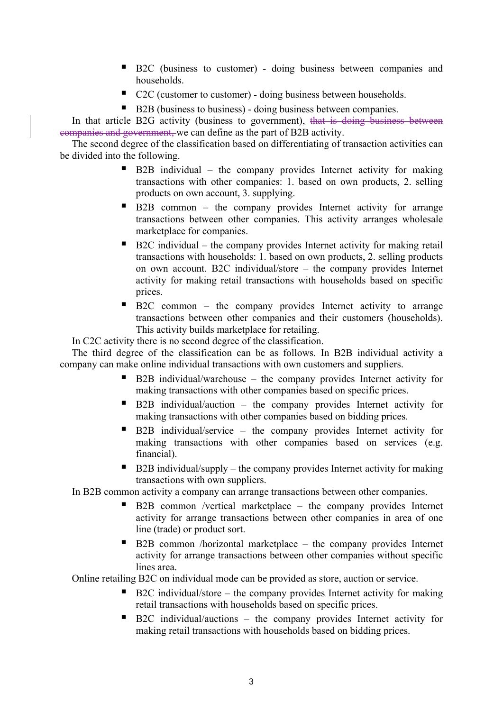- B2C (business to customer) doing business between companies and households.
- C2C (customer to customer) doing business between households.
- B2B (business to business) doing business between companies.

In that article B2G activity (business to government), that is doing business between companies and government, we can define as the part of B2B activity.

The second degree of the classification based on differentiating of transaction activities can be divided into the following.

- B2B individual the company provides Internet activity for making transactions with other companies: 1. based on own products, 2. selling products on own account, 3. supplying.
- B2B common the company provides Internet activity for arrange transactions between other companies. This activity arranges wholesale marketplace for companies.
- B2C individual the company provides Internet activity for making retail transactions with households: 1. based on own products, 2. selling products on own account. B2C individual/store – the company provides Internet activity for making retail transactions with households based on specific prices.
- B2C common the company provides Internet activity to arrange transactions between other companies and their customers (households). This activity builds marketplace for retailing.

In C2C activity there is no second degree of the classification.

The third degree of the classification can be as follows. In B2B individual activity a company can make online individual transactions with own customers and suppliers.

- B2B individual/warehouse the company provides Internet activity for making transactions with other companies based on specific prices.
- B2B individual/auction the company provides Internet activity for making transactions with other companies based on bidding prices.
- B2B individual/service the company provides Internet activity for making transactions with other companies based on services (e.g. financial).
- $\blacksquare$  B2B individual/supply the company provides Internet activity for making transactions with own suppliers.

In B2B common activity a company can arrange transactions between other companies.

- B2B common /vertical marketplace the company provides Internet activity for arrange transactions between other companies in area of one line (trade) or product sort.
- B2B common /horizontal marketplace the company provides Internet activity for arrange transactions between other companies without specific lines area.

Online retailing B2C on individual mode can be provided as store, auction or service.

- B2C individual/store the company provides Internet activity for making retail transactions with households based on specific prices.
- B2C individual/auctions the company provides Internet activity for making retail transactions with households based on bidding prices.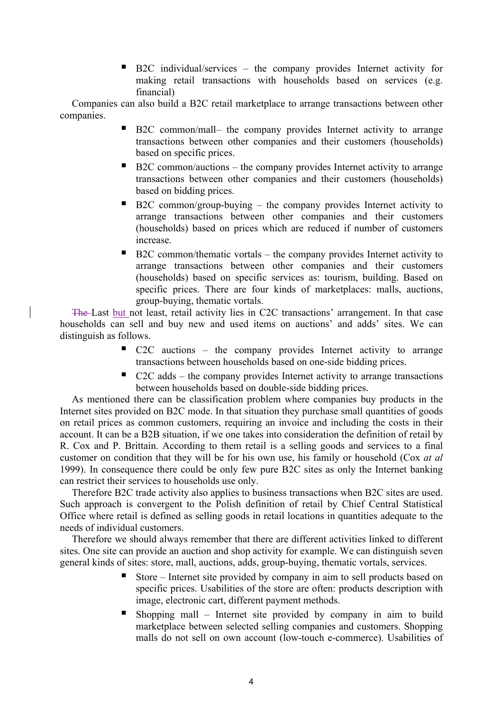■ B2C individual/services – the company provides Internet activity for making retail transactions with households based on services (e.g. financial)

Companies can also build a B2C retail marketplace to arrange transactions between other companies.

- B2C common/mall– the company provides Internet activity to arrange transactions between other companies and their customers (households) based on specific prices.
- $\blacksquare$  B2C common/auctions the company provides Internet activity to arrange transactions between other companies and their customers (households) based on bidding prices.
- B2C common/group-buying the company provides Internet activity to arrange transactions between other companies and their customers (households) based on prices which are reduced if number of customers increase.
- B2C common/thematic vortals the company provides Internet activity to arrange transactions between other companies and their customers (households) based on specific services as: tourism, building. Based on specific prices. There are four kinds of marketplaces: malls, auctions, group-buying, thematic vortals.

The Last but not least, retail activity lies in C2C transactions' arrangement. In that case households can sell and buy new and used items on auctions' and adds' sites. We can distinguish as follows.

- C2C auctions the company provides Internet activity to arrange transactions between households based on one-side bidding prices.
- $\blacksquare$  C2C adds the company provides Internet activity to arrange transactions between households based on double-side bidding prices.

As mentioned there can be classification problem where companies buy products in the Internet sites provided on B2C mode. In that situation they purchase small quantities of goods on retail prices as common customers, requiring an invoice and including the costs in their account. It can be a B2B situation, if we one takes into consideration the definition of retail by R. Cox and P. Brittain. According to them retail is a selling goods and services to a final customer on condition that they will be for his own use, his family or household (Cox *at al* 1999). In consequence there could be only few pure B2C sites as only the Internet banking can restrict their services to households use only.

Therefore B2C trade activity also applies to business transactions when B2C sites are used. Such approach is convergent to the Polish definition of retail by Chief Central Statistical Office where retail is defined as selling goods in retail locations in quantities adequate to the needs of individual customers.

Therefore we should always remember that there are different activities linked to different sites. One site can provide an auction and shop activity for example. We can distinguish seven general kinds of sites: store, mall, auctions, adds, group-buying, thematic vortals, services.

- Store Internet site provided by company in aim to sell products based on specific prices. Usabilities of the store are often: products description with image, electronic cart, different payment methods.
- Shopping mall Internet site provided by company in aim to build marketplace between selected selling companies and customers. Shopping malls do not sell on own account (low-touch e-commerce). Usabilities of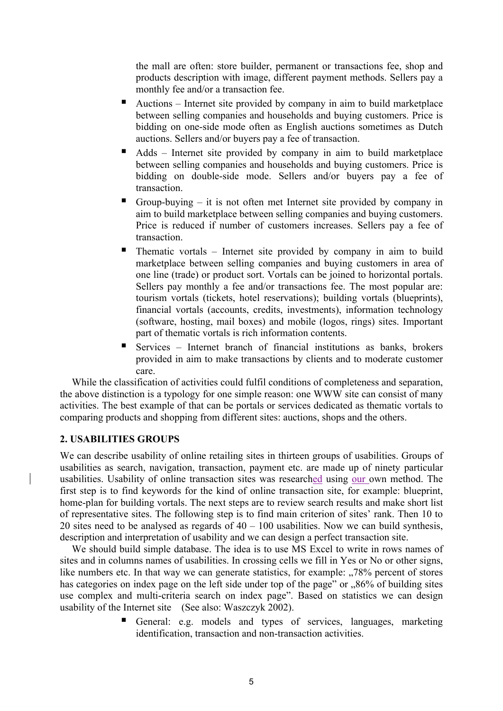the mall are often: store builder, permanent or transactions fee, shop and products description with image, different payment methods. Sellers pay a monthly fee and/or a transaction fee.

- Auctions Internet site provided by company in aim to build marketplace between selling companies and households and buying customers. Price is bidding on one-side mode often as English auctions sometimes as Dutch auctions. Sellers and/or buyers pay a fee of transaction.
- Adds Internet site provided by company in aim to build marketplace between selling companies and households and buying customers. Price is bidding on double-side mode. Sellers and/or buyers pay a fee of transaction.
- Group-buying it is not often met Internet site provided by company in aim to build marketplace between selling companies and buying customers. Price is reduced if number of customers increases. Sellers pay a fee of transaction.
- Thematic vortals Internet site provided by company in aim to build marketplace between selling companies and buying customers in area of one line (trade) or product sort. Vortals can be joined to horizontal portals. Sellers pay monthly a fee and/or transactions fee. The most popular are: tourism vortals (tickets, hotel reservations); building vortals (blueprints), financial vortals (accounts, credits, investments), information technology (software, hosting, mail boxes) and mobile (logos, rings) sites. Important part of thematic vortals is rich information contents.
- Services Internet branch of financial institutions as banks, brokers provided in aim to make transactions by clients and to moderate customer care.

While the classification of activities could fulfil conditions of completeness and separation, the above distinction is a typology for one simple reason: one WWW site can consist of many activities. The best example of that can be portals or services dedicated as thematic vortals to comparing products and shopping from different sites: auctions, shops and the others.

# **2. USABILITIES GROUPS**

We can describe usability of online retailing sites in thirteen groups of usabilities. Groups of usabilities as search, navigation, transaction, payment etc. are made up of ninety particular usabilities. Usability of online transaction sites was researched using our own method. The first step is to find keywords for the kind of online transaction site, for example: blueprint, home-plan for building vortals. The next steps are to review search results and make short list of representative sites. The following step is to find main criterion of sites' rank. Then 10 to 20 sites need to be analysed as regards of  $40 - 100$  usabilities. Now we can build synthesis, description and interpretation of usability and we can design a perfect transaction site.

We should build simple database. The idea is to use MS Excel to write in rows names of sites and in columns names of usabilities. In crossing cells we fill in Yes or No or other signs, like numbers etc. In that way we can generate statistics, for example:  $\sqrt{78\%}$  percent of stores has categories on index page on the left side under top of the page" or "86% of building sites use complex and multi-criteria search on index page". Based on statistics we can design usability of the Internet site (See also: Waszczyk 2002).

> General: e.g. models and types of services, languages, marketing identification, transaction and non-transaction activities.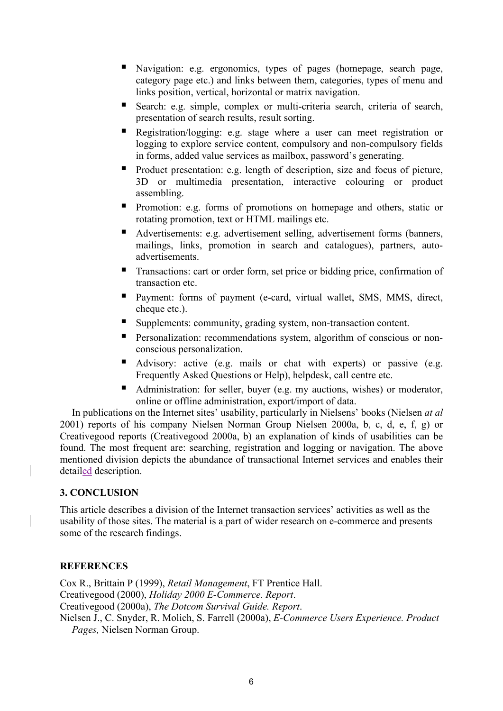- Navigation: e.g. ergonomics, types of pages (homepage, search page, category page etc.) and links between them, categories, types of menu and links position, vertical, horizontal or matrix navigation.
- Search: e.g. simple, complex or multi-criteria search, criteria of search, presentation of search results, result sorting.
- Registration/logging: e.g. stage where a user can meet registration or logging to explore service content, compulsory and non-compulsory fields in forms, added value services as mailbox, password's generating.
- Product presentation: e.g. length of description, size and focus of picture, 3D or multimedia presentation, interactive colouring or product assembling.
- **Promotion:** e.g. forms of promotions on homepage and others, static or rotating promotion, text or HTML mailings etc.
- Advertisements: e.g. advertisement selling, advertisement forms (banners, mailings, links, promotion in search and catalogues), partners, autoadvertisements.
- **Transactions: cart or order form, set price or bidding price, confirmation of** transaction etc.
- **Payment:** forms of payment (e-card, virtual wallet, SMS, MMS, direct, cheque etc.).
- Supplements: community, grading system, non-transaction content.
- **Personalization: recommendations system, algorithm of conscious or non**conscious personalization.
- Advisory: active (e.g. mails or chat with experts) or passive (e.g. Frequently Asked Questions or Help), helpdesk, call centre etc.
- Administration: for seller, buyer (e.g. my auctions, wishes) or moderator, online or offline administration, export/import of data.

In publications on the Internet sites' usability, particularly in Nielsens' books (Nielsen *at al* 2001) reports of his company Nielsen Norman Group Nielsen 2000a, b, c, d, e, f, g) or Creativegood reports (Creativegood 2000a, b) an explanation of kinds of usabilities can be found. The most frequent are: searching, registration and logging or navigation. The above mentioned division depicts the abundance of transactional Internet services and enables their detailed description.

# **3. CONCLUSION**

This article describes a division of the Internet transaction services' activities as well as the usability of those sites. The material is a part of wider research on e-commerce and presents some of the research findings.

# **REFERENCES**

Cox R., Brittain P (1999), *Retail Management*, FT Prentice Hall. Creativegood (2000), *Holiday 2000 E-Commerce. Report*. Creativegood (2000a), *The Dotcom Survival Guide. Report*. Nielsen J., C. Snyder, R. Molich, S. Farrell (2000a), *E-Commerce Users Experience. Product Pages,* Nielsen Norman Group.